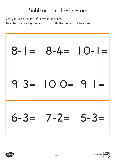



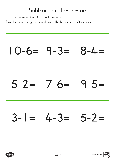

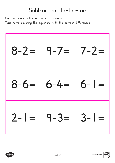

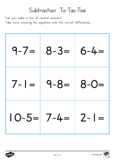

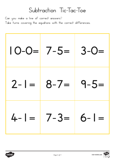

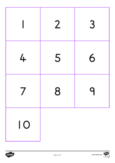